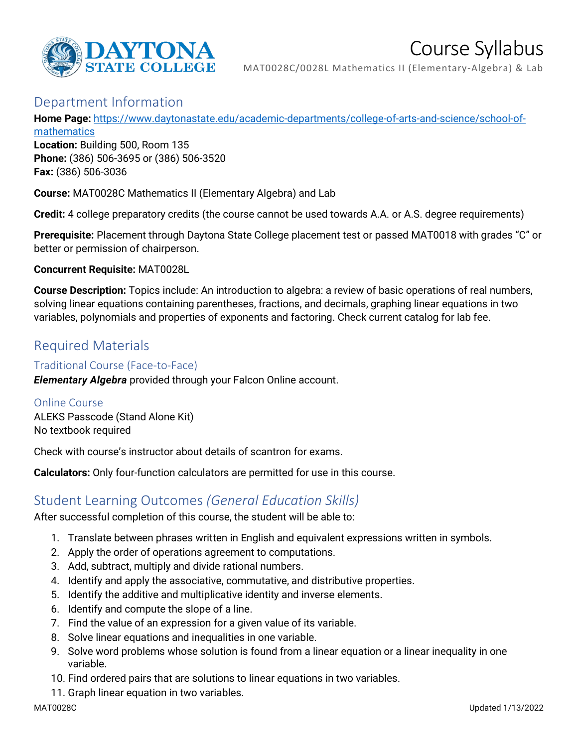

# Course Syllabus

MAT0028C/0028L Mathematics II (Elementary-Algebra) & Lab

# Department Information

**Home Page:** [https://www.daytonastate.edu/academic-departments/college-of-arts-and-science/school-of-](https://www.daytonastate.edu/academic-departments/college-of-arts-and-science/school-of-mathematics)

**[mathematics](https://www.daytonastate.edu/academic-departments/college-of-arts-and-science/school-of-mathematics)** 

**Location:** Building 500, Room 135 **Phone:** (386) 506-3695 or (386) 506-3520 **Fax:** (386) 506-3036

**Course:** MAT0028C Mathematics II (Elementary Algebra) and Lab

**Credit:** 4 college preparatory credits (the course cannot be used towards A.A. or A.S. degree requirements)

**Prerequisite:** Placement through Daytona State College placement test or passed MAT0018 with grades "C" or better or permission of chairperson.

#### **Concurrent Requisite:** MAT0028L

**Course Description:** Topics include: An introduction to algebra: a review of basic operations of real numbers, solving linear equations containing parentheses, fractions, and decimals, graphing linear equations in two variables, polynomials and properties of exponents and factoring. Check current catalog for lab fee.

# Required Materials

#### Traditional Course (Face-to-Face)

*Elementary Algebra* provided through your Falcon Online account.

## Online Course

ALEKS Passcode (Stand Alone Kit) No textbook required

Check with course's instructor about details of scantron for exams.

**Calculators:** Only four-function calculators are permitted for use in this course.

## Student Learning Outcomes *(General Education Skills)*

After successful completion of this course, the student will be able to:

- 1. Translate between phrases written in English and equivalent expressions written in symbols.
- 2. Apply the order of operations agreement to computations.
- 3. Add, subtract, multiply and divide rational numbers.
- 4. Identify and apply the associative, commutative, and distributive properties.
- 5. Identify the additive and multiplicative identity and inverse elements.
- 6. Identify and compute the slope of a line.
- 7. Find the value of an expression for a given value of its variable.
- 8. Solve linear equations and inequalities in one variable.
- 9. Solve word problems whose solution is found from a linear equation or a linear inequality in one variable.
- 10. Find ordered pairs that are solutions to linear equations in two variables.
- 11. Graph linear equation in two variables.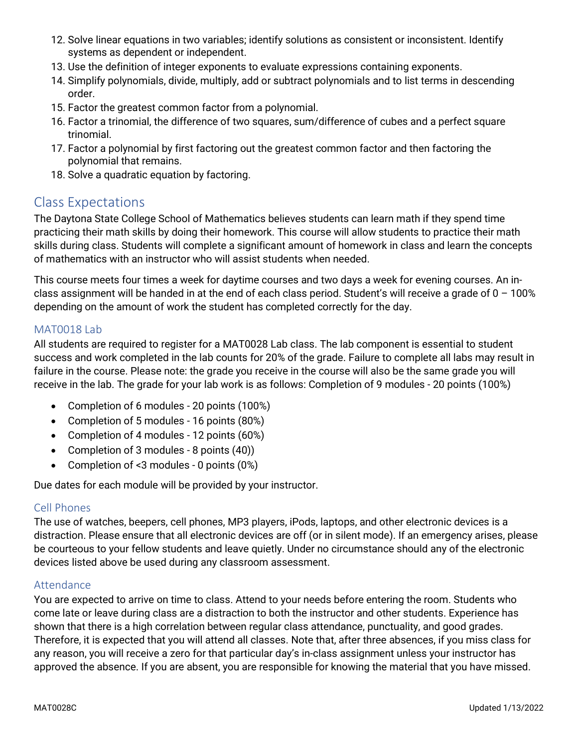- 12. Solve linear equations in two variables; identify solutions as consistent or inconsistent. Identify systems as dependent or independent.
- 13. Use the definition of integer exponents to evaluate expressions containing exponents.
- 14. Simplify polynomials, divide, multiply, add or subtract polynomials and to list terms in descending order.
- 15. Factor the greatest common factor from a polynomial.
- 16. Factor a trinomial, the difference of two squares, sum/difference of cubes and a perfect square trinomial.
- 17. Factor a polynomial by first factoring out the greatest common factor and then factoring the polynomial that remains.
- 18. Solve a quadratic equation by factoring.

## Class Expectations

The Daytona State College School of Mathematics believes students can learn math if they spend time practicing their math skills by doing their homework. This course will allow students to practice their math skills during class. Students will complete a significant amount of homework in class and learn the concepts of mathematics with an instructor who will assist students when needed.

This course meets four times a week for daytime courses and two days a week for evening courses. An inclass assignment will be handed in at the end of each class period. Student's will receive a grade of  $0 - 100\%$ depending on the amount of work the student has completed correctly for the day.

### MAT0018 Lab

All students are required to register for a MAT0028 Lab class. The lab component is essential to student success and work completed in the lab counts for 20% of the grade. Failure to complete all labs may result in failure in the course. Please note: the grade you receive in the course will also be the same grade you will receive in the lab. The grade for your lab work is as follows: Completion of 9 modules - 20 points (100%)

- Completion of 6 modules 20 points (100%)
- Completion of 5 modules 16 points (80%)
- Completion of 4 modules 12 points (60%)
- Completion of 3 modules 8 points (40))
- Completion of <3 modules 0 points (0%)

Due dates for each module will be provided by your instructor.

#### Cell Phones

The use of watches, beepers, cell phones, MP3 players, iPods, laptops, and other electronic devices is a distraction. Please ensure that all electronic devices are off (or in silent mode). If an emergency arises, please be courteous to your fellow students and leave quietly. Under no circumstance should any of the electronic devices listed above be used during any classroom assessment.

#### Attendance

You are expected to arrive on time to class. Attend to your needs before entering the room. Students who come late or leave during class are a distraction to both the instructor and other students. Experience has shown that there is a high correlation between regular class attendance, punctuality, and good grades. Therefore, it is expected that you will attend all classes. Note that, after three absences, if you miss class for any reason, you will receive a zero for that particular day's in-class assignment unless your instructor has approved the absence. If you are absent, you are responsible for knowing the material that you have missed.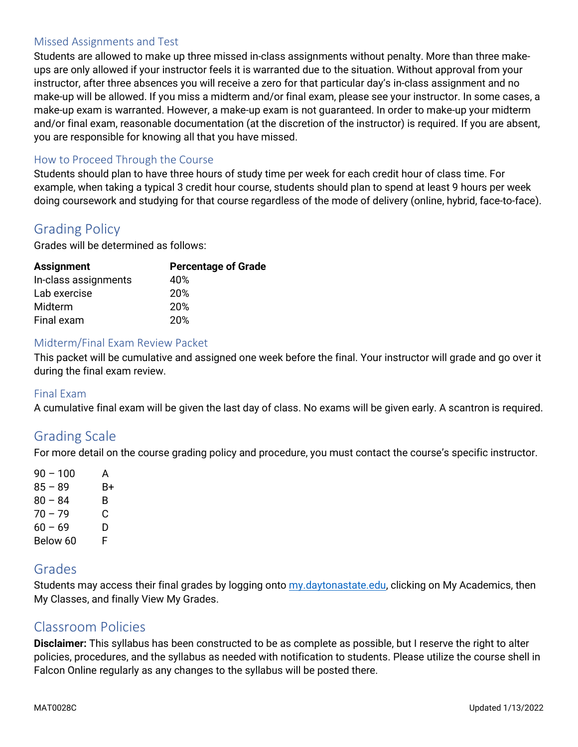#### Missed Assignments and Test

Students are allowed to make up three missed in-class assignments without penalty. More than three makeups are only allowed if your instructor feels it is warranted due to the situation. Without approval from your instructor, after three absences you will receive a zero for that particular day's in-class assignment and no make-up will be allowed. If you miss a midterm and/or final exam, please see your instructor. In some cases, a make-up exam is warranted. However, a make-up exam is not guaranteed. In order to make-up your midterm and/or final exam, reasonable documentation (at the discretion of the instructor) is required. If you are absent, you are responsible for knowing all that you have missed.

#### How to Proceed Through the Course

Students should plan to have three hours of study time per week for each credit hour of class time. For example, when taking a typical 3 credit hour course, students should plan to spend at least 9 hours per week doing coursework and studying for that course regardless of the mode of delivery (online, hybrid, face-to-face).

# Grading Policy

Grades will be determined as follows:

| <b>Assignment</b>    | <b>Percentage of Grade</b> |
|----------------------|----------------------------|
| In-class assignments | 40%                        |
| Lab exercise         | <b>20%</b>                 |
| Midterm              | 20%                        |
| Final exam           | 20%                        |
|                      |                            |

#### Midterm/Final Exam Review Packet

This packet will be cumulative and assigned one week before the final. Your instructor will grade and go over it during the final exam review.

#### Final Exam

A cumulative final exam will be given the last day of class. No exams will be given early. A scantron is required.

## Grading Scale

For more detail on the course grading policy and procedure, you must contact the course's specific instructor.

 $90 - 100$  A  $85 - 89$  B+  $80 - 84$  B  $70 - 79$  C  $60 - 69$  D Below 60 F

## Grades

Students may access their final grades by logging onto [my.daytonastate.edu,](https://my.daytonastate.edu/) clicking on My Academics, then My Classes, and finally View My Grades.

## Classroom Policies

**Disclaimer:** This syllabus has been constructed to be as complete as possible, but I reserve the right to alter policies, procedures, and the syllabus as needed with notification to students. Please utilize the course shell in Falcon Online regularly as any changes to the syllabus will be posted there.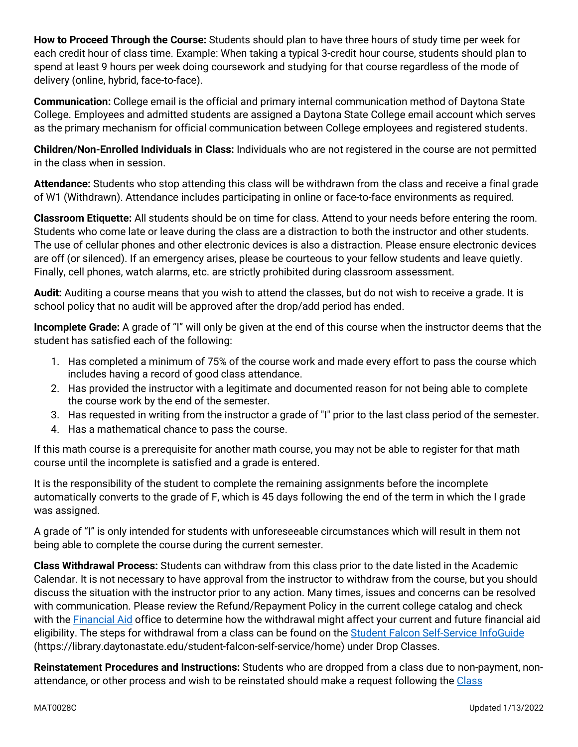**How to Proceed Through the Course:** Students should plan to have three hours of study time per week for each credit hour of class time. Example: When taking a typical 3-credit hour course, students should plan to spend at least 9 hours per week doing coursework and studying for that course regardless of the mode of delivery (online, hybrid, face-to-face).

**Communication:** College email is the official and primary internal communication method of Daytona State College. Employees and admitted students are assigned a Daytona State College email account which serves as the primary mechanism for official communication between College employees and registered students.

**Children/Non-Enrolled Individuals in Class:** Individuals who are not registered in the course are not permitted in the class when in session.

**Attendance:** Students who stop attending this class will be withdrawn from the class and receive a final grade of W1 (Withdrawn). Attendance includes participating in online or face-to-face environments as required.

**Classroom Etiquette:** All students should be on time for class. Attend to your needs before entering the room. Students who come late or leave during the class are a distraction to both the instructor and other students. The use of cellular phones and other electronic devices is also a distraction. Please ensure electronic devices are off (or silenced). If an emergency arises, please be courteous to your fellow students and leave quietly. Finally, cell phones, watch alarms, etc. are strictly prohibited during classroom assessment.

**Audit:** Auditing a course means that you wish to attend the classes, but do not wish to receive a grade. It is school policy that no audit will be approved after the drop/add period has ended.

**Incomplete Grade:** A grade of "I" will only be given at the end of this course when the instructor deems that the student has satisfied each of the following:

- 1. Has completed a minimum of 75% of the course work and made every effort to pass the course which includes having a record of good class attendance.
- 2. Has provided the instructor with a legitimate and documented reason for not being able to complete the course work by the end of the semester.
- 3. Has requested in writing from the instructor a grade of "I" prior to the last class period of the semester.
- 4. Has a mathematical chance to pass the course.

If this math course is a prerequisite for another math course, you may not be able to register for that math course until the incomplete is satisfied and a grade is entered.

It is the responsibility of the student to complete the remaining assignments before the incomplete automatically converts to the grade of F, which is 45 days following the end of the term in which the I grade was assigned.

A grade of "I" is only intended for students with unforeseeable circumstances which will result in them not being able to complete the course during the current semester.

**Class Withdrawal Process:** Students can withdraw from this class prior to the date listed in the Academic Calendar. It is not necessary to have approval from the instructor to withdraw from the course, but you should discuss the situation with the instructor prior to any action. Many times, issues and concerns can be resolved with communication. Please review the Refund/Repayment Policy in the current college catalog and check with the [Financial Aid](https://www.daytonastate.edu/financial-aid) office to determine how the withdrawal might affect your current and future financial aid eligibility. The steps for withdrawal from a class can be found on the [Student Falcon Self-Service InfoGuide](https://library.daytonastate.edu/student-falcon-self-service/home) (https://library.daytonastate.edu/student-falcon-self-service/home) under Drop Classes.

**Reinstatement Procedures and Instructions:** Students who are dropped from a class due to non-payment, nonattendance, or other process and wish to be reinstated should make a request following the [Class](https://www.daytonastate.edu/enrollment-information/index.html)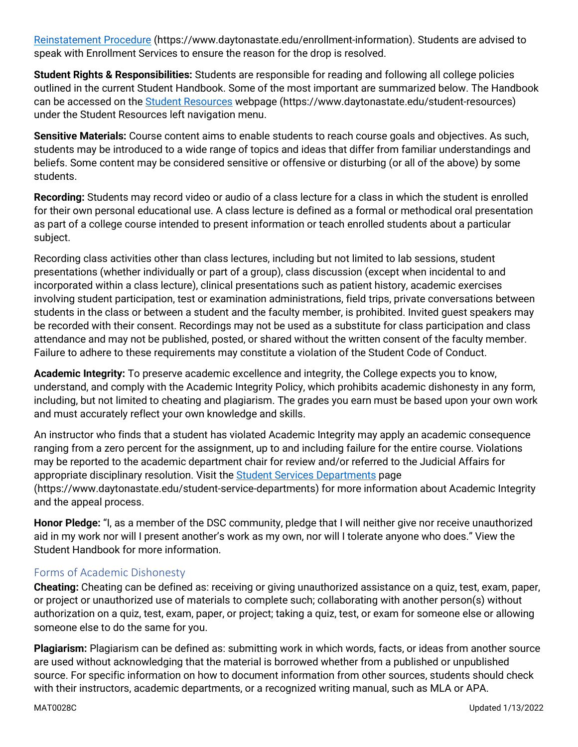[Reinstatement Procedure](https://www.daytonastate.edu/enrollment-information/index.html) (https://www.daytonastate.edu/enrollment-information). Students are advised to speak with Enrollment Services to ensure the reason for the drop is resolved.

**Student Rights & Responsibilities:** Students are responsible for reading and following all college policies outlined in the current Student Handbook. Some of the most important are summarized below. The Handbook can be accessed on the [Student Resources](https://www.daytonastate.edu/student-resources) webpage (https://www.daytonastate.edu/student-resources) under the Student Resources left navigation menu.

**Sensitive Materials:** Course content aims to enable students to reach course goals and objectives. As such, students may be introduced to a wide range of topics and ideas that differ from familiar understandings and beliefs. Some content may be considered sensitive or offensive or disturbing (or all of the above) by some students.

**Recording:** Students may record video or audio of a class lecture for a class in which the student is enrolled for their own personal educational use. A class lecture is defined as a formal or methodical oral presentation as part of a college course intended to present information or teach enrolled students about a particular subject.

Recording class activities other than class lectures, including but not limited to lab sessions, student presentations (whether individually or part of a group), class discussion (except when incidental to and incorporated within a class lecture), clinical presentations such as patient history, academic exercises involving student participation, test or examination administrations, field trips, private conversations between students in the class or between a student and the faculty member, is prohibited. Invited guest speakers may be recorded with their consent. Recordings may not be used as a substitute for class participation and class attendance and may not be published, posted, or shared without the written consent of the faculty member. Failure to adhere to these requirements may constitute a violation of the Student Code of Conduct.

**Academic Integrity:** To preserve academic excellence and integrity, the College expects you to know, understand, and comply with the Academic Integrity Policy, which prohibits academic dishonesty in any form, including, but not limited to cheating and plagiarism. The grades you earn must be based upon your own work and must accurately reflect your own knowledge and skills.

An instructor who finds that a student has violated Academic Integrity may apply an academic consequence ranging from a zero percent for the assignment, up to and including failure for the entire course. Violations may be reported to the academic department chair for review and/or referred to the Judicial Affairs for appropriate disciplinary resolution. Visit the **Student Services Departments** page (https://www.daytonastate.edu/student-service-departments) for more information about Academic Integrity and the appeal process.

**Honor Pledge:** "I, as a member of the DSC community, pledge that I will neither give nor receive unauthorized aid in my work nor will I present another's work as my own, nor will I tolerate anyone who does." View the Student Handbook for more information.

## Forms of Academic Dishonesty

**Cheating:** Cheating can be defined as: receiving or giving unauthorized assistance on a quiz, test, exam, paper, or project or unauthorized use of materials to complete such; collaborating with another person(s) without authorization on a quiz, test, exam, paper, or project; taking a quiz, test, or exam for someone else or allowing someone else to do the same for you.

**Plagiarism:** Plagiarism can be defined as: submitting work in which words, facts, or ideas from another source are used without acknowledging that the material is borrowed whether from a published or unpublished source. For specific information on how to document information from other sources, students should check with their instructors, academic departments, or a recognized writing manual, such as MLA or APA.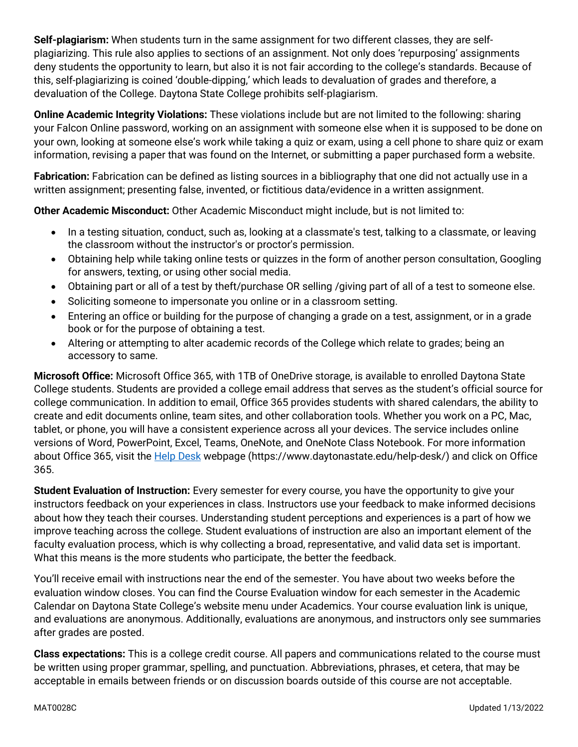**Self-plagiarism:** When students turn in the same assignment for two different classes, they are selfplagiarizing. This rule also applies to sections of an assignment. Not only does 'repurposing' assignments deny students the opportunity to learn, but also it is not fair according to the college's standards. Because of this, self-plagiarizing is coined 'double-dipping,' which leads to devaluation of grades and therefore, a devaluation of the College. Daytona State College prohibits self-plagiarism.

**Online Academic Integrity Violations:** These violations include but are not limited to the following: sharing your Falcon Online password, working on an assignment with someone else when it is supposed to be done on your own, looking at someone else's work while taking a quiz or exam, using a cell phone to share quiz or exam information, revising a paper that was found on the Internet, or submitting a paper purchased form a website.

**Fabrication:** Fabrication can be defined as listing sources in a bibliography that one did not actually use in a written assignment; presenting false, invented, or fictitious data/evidence in a written assignment.

**Other Academic Misconduct:** Other Academic Misconduct might include, but is not limited to:

- In a testing situation, conduct, such as, looking at a classmate's test, talking to a classmate, or leaving the classroom without the instructor's or proctor's permission.
- Obtaining help while taking online tests or quizzes in the form of another person consultation, Googling for answers, texting, or using other social media.
- Obtaining part or all of a test by theft/purchase OR selling /giving part of all of a test to someone else.
- Soliciting someone to impersonate you online or in a classroom setting.
- Entering an office or building for the purpose of changing a grade on a test, assignment, or in a grade book or for the purpose of obtaining a test.
- Altering or attempting to alter academic records of the College which relate to grades; being an accessory to same.

**Microsoft Office:** Microsoft Office 365, with 1TB of OneDrive storage, is available to enrolled Daytona State College students. Students are provided a college email address that serves as the student's official source for college communication. In addition to email, Office 365 provides students with shared calendars, the ability to create and edit documents online, team sites, and other collaboration tools. Whether you work on a PC, Mac, tablet, or phone, you will have a consistent experience across all your devices. The service includes online versions of Word, PowerPoint, Excel, Teams, OneNote, and OneNote Class Notebook. For more information about Office 365, visit the **Help Desk** webpage (https://www.daytonastate.edu/help-desk/) and click on Office 365.

**Student Evaluation of Instruction:** Every semester for every course, you have the opportunity to give your instructors feedback on your experiences in class. Instructors use your feedback to make informed decisions about how they teach their courses. Understanding student perceptions and experiences is a part of how we improve teaching across the college. Student evaluations of instruction are also an important element of the faculty evaluation process, which is why collecting a broad, representative, and valid data set is important. What this means is the more students who participate, the better the feedback.

You'll receive email with instructions near the end of the semester. You have about two weeks before the evaluation window closes. You can find the Course Evaluation window for each semester in the Academic Calendar on Daytona State College's website menu under Academics. Your course evaluation link is unique, and evaluations are anonymous. Additionally, evaluations are anonymous, and instructors only see summaries after grades are posted.

**Class expectations:** This is a college credit course. All papers and communications related to the course must be written using proper grammar, spelling, and punctuation. Abbreviations, phrases, et cetera, that may be acceptable in emails between friends or on discussion boards outside of this course are not acceptable.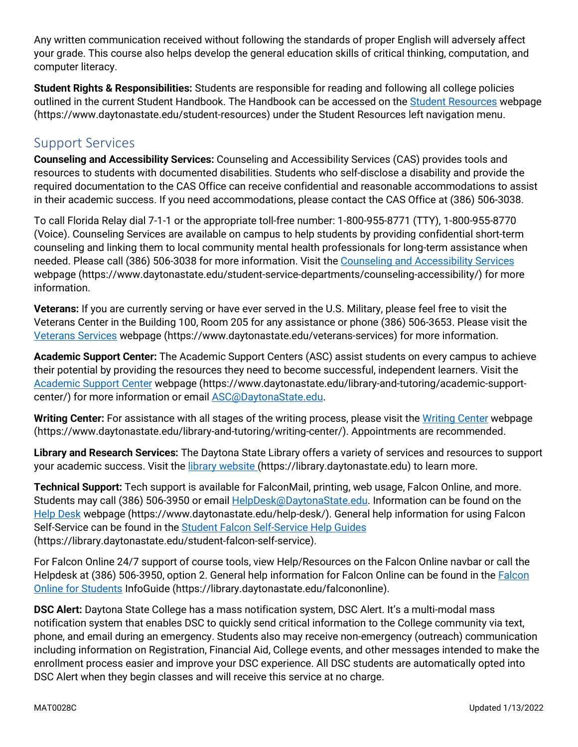Any written communication received without following the standards of proper English will adversely affect your grade. This course also helps develop the general education skills of critical thinking, computation, and computer literacy.

**Student Rights & Responsibilities:** Students are responsible for reading and following all college policies outlined in the current Student Handbook. The Handbook can be accessed on the [Student Resources](https://www.daytonastate.edu/student-resources) webpage (https://www.daytonastate.edu/student-resources) under the Student Resources left navigation menu.

## Support Services

**Counseling and Accessibility Services:** Counseling and Accessibility Services (CAS) provides tools and resources to students with documented disabilities. Students who self-disclose a disability and provide the required documentation to the CAS Office can receive confidential and reasonable accommodations to assist in their academic success. If you need accommodations, please contact the CAS Office at (386) 506-3038.

To call Florida Relay dial 7-1-1 or the appropriate toll-free number: 1-800-955-8771 (TTY), 1-800-955-8770 (Voice). Counseling Services are available on campus to help students by providing confidential short-term counseling and linking them to local community mental health professionals for long-term assistance when needed. Please call (386) 506-3038 for more information. Visit the [Counseling and Accessibility Services](https://www.daytonastate.edu/student-service-departments/counseling-accessibility/) webpage (https://www.daytonastate.edu/student-service-departments/counseling-accessibility/) for more information.

**Veterans:** If you are currently serving or have ever served in the U.S. Military, please feel free to visit the Veterans Center in the Building 100, Room 205 for any assistance or phone (386) 506-3653. Please visit the [Veterans Services](https://www.daytonastate.edu/veterans-services) webpage (https://www.daytonastate.edu/veterans-services) for more information.

**Academic Support Center:** The Academic Support Centers (ASC) assist students on every campus to achieve their potential by providing the resources they need to become successful, independent learners. Visit the [Academic Support Center](https://www.daytonastate.edu/library-and-tutoring/academic-support-center/index.html) webpage (https://www.daytonastate.edu/library-and-tutoring/academic-supportcenter/) for more information or email [ASC@DaytonaState.edu.](mailto:ASC@DaytonaState.edu)

**Writing Center:** For assistance with all stages of the writing process, please visit the [Writing Center](https://www.daytonastate.edu/library-and-tutoring/writing-center/) webpage (https://www.daytonastate.edu/library-and-tutoring/writing-center/). Appointments are recommended.

**Library and Research Services:** The Daytona State Library offers a variety of services and resources to support your academic success. Visit the *library website* (https://library.daytonastate.edu) to learn more.

**Technical Support:** Tech support is available for FalconMail, printing, web usage, Falcon Online, and more. Students may call (386) 506-3950 or email [HelpDesk@DaytonaState.edu.](mailto:HelpDesk@DaytonaState.edu) Information can be found on the [Help Desk](https://www.daytonastate.edu/help-desk/) webpage (https://www.daytonastate.edu/help-desk/). General help information for using Falcon Self-Service can be found in the [Student Falcon Self-Service Help Guides](https://library.daytonastate.edu/student-falcon-self-service) (https://library.daytonastate.edu/student-falcon-self-service).

For Falcon Online 24/7 support of course tools, view Help/Resources on the Falcon Online navbar or call the Helpdesk at (386) 506-3950, option 2. General help information for Falcon Online can be found in the [Falcon](https://library.daytonastate.edu/falcononline)  [Online for Students](https://library.daytonastate.edu/falcononline) InfoGuide (https://library.daytonastate.edu/falcononline).

**DSC Alert:** Daytona State College has a mass notification system, DSC Alert. It's a multi-modal mass notification system that enables DSC to quickly send critical information to the College community via text, phone, and email during an emergency. Students also may receive non-emergency (outreach) communication including information on Registration, Financial Aid, College events, and other messages intended to make the enrollment process easier and improve your DSC experience. All DSC students are automatically opted into DSC Alert when they begin classes and will receive this service at no charge.